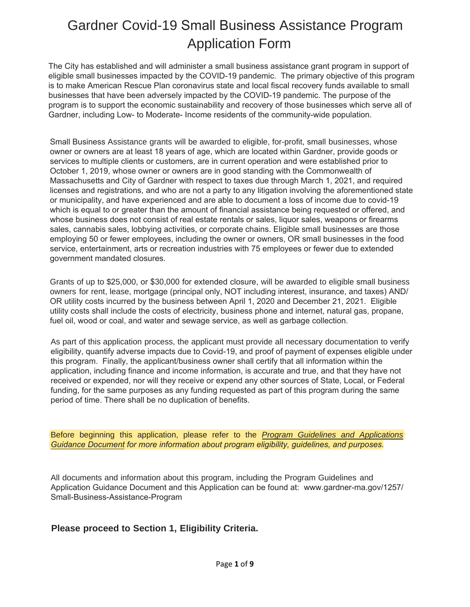# Gardner Covid-19 Small Business Assistance Program Application Form

The City has established and will administer a small business assistance grant program in support of eligible small businesses impacted by the COVID-19 pandemic. The primary objective of this program is to make American Rescue Plan coronavirus state and local fiscal recovery funds available to small businesses that have been adversely impacted by the COVID-19 pandemic. The purpose of the program is to support the economic sustainability and recovery of those businesses which serve all of Gardner, including Low- to Moderate- Income residents of the community-wide population.

Small Business Assistance grants will be awarded to eligible, for-profit, small businesses, whose owner or owners are at least 18 years of age, which are located within Gardner, provide goods or services to multiple clients or customers, are in current operation and were established prior to October 1, 2019, whose owner or owners are in good standing with the Commonwealth of Massachusetts and City of Gardner with respect to taxes due through March 1, 2021, and required licenses and registrations, and who are not a party to any litigation involving the aforementioned state or municipality, and have experienced and are able to document a loss of income due to covid-19 which is equal to or greater than the amount of financial assistance being requested or offered, and whose business does not consist of real estate rentals or sales, liquor sales, weapons or firearms sales, cannabis sales, lobbying activities, or corporate chains. Eligible small businesses are those employing 50 or fewer employees, including the owner or owners, OR small businesses in the food service, entertainment, arts or recreation industries with 75 employees or fewer due to extended government mandated closures.

Grants of up to \$25,000, or \$30,000 for extended closure, will be awarded to eligible small business owners for rent, lease, mortgage (principal only, NOT including interest, insurance, and taxes) AND/ OR utility costs incurred by the business between April 1, 2020 and December 21, 2021. Eligible utility costs shall include the costs of electricity, business phone and internet, natural gas, propane, fuel oil, wood or coal, and water and sewage service, as well as garbage collection.

As part of this application process, the applicant must provide all necessary documentation to verify eligibility, quantify adverse impacts due to Covid-19, and proof of payment of expenses eligible under this program. Finally, the applicant/business owner shall certify that all information within the application, including finance and income information, is accurate and true, and that they have not received or expended, nor will they receive or expend any other sources of State, Local, or Federal funding, for the same purposes as any funding requested as part of this program during the same period of time. There shall be no duplication of benefits.

Before beginning this application, please refer to the *Program Guidelines and Applications Guidance Document for more information about program eligibility, guidelines, and purposes.*

All documents and information about this program, including the Program Guidelines and Application Guidance Document and this Application can be found at: www.gardner-ma.gov/1257/ Small-Business-Assistance-Program

#### **[Please proceed to Section 1, Eligibility Cr](https://www.gardner-ma.gov/1117/Microenterprise-Assistance-Program)iteria.**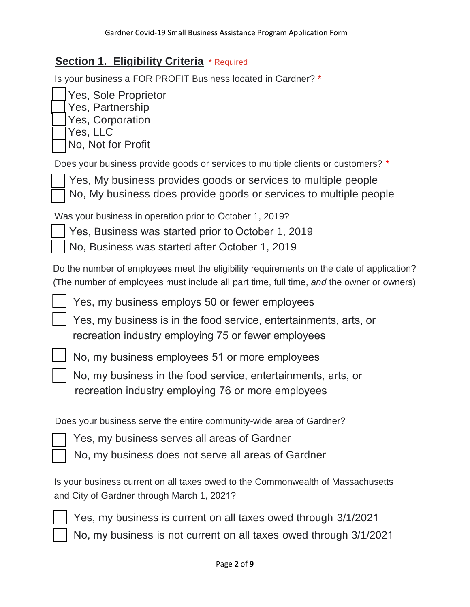#### **Section 1. Eligibility Criteria** \* Required

Is your business a FOR PROFIT Business located in Gardner? \*

| Yes, Sole Proprietor    |
|-------------------------|
| Yes, Partnership        |
| <b>Yes, Corporation</b> |
| Yes, LLC                |
| No, Not for Profit      |

Does your business provide goods or services to multiple clients or customers? \*

 Yes, My business provides goods or services to multiple people No, My business does provide goods or services to multiple people

Was your business in operation prior to October 1, 2019?

Yes, Business was started prior to October 1, 2019

No, Business was started after October 1, 2019

Do the number of employees meet the eligibility requirements on the date of application? (The number of employees must include all part time, full time, *and* the owner or owners)

Yes, my business employs 50 or fewer employees

Yes, my business is in the food service, entertainments, arts, or recreation industry employing 75 or fewer employees



No, my business employees 51 or more employees

No, my business in the food service, entertainments, arts, or recreation industry employing 76 or more employees

Does your business serve the entire community-wide area of Gardner?

Yes, my business serves all areas of Gardner

No, my business does not serve all areas of Gardner

Is your business current on all taxes owed to the Commonwealth of Massachusetts and City of Gardner through March 1, 2021?



Yes, my business is current on all taxes owed through 3/1/2021 No, my business is not current on all taxes owed through 3/1/2021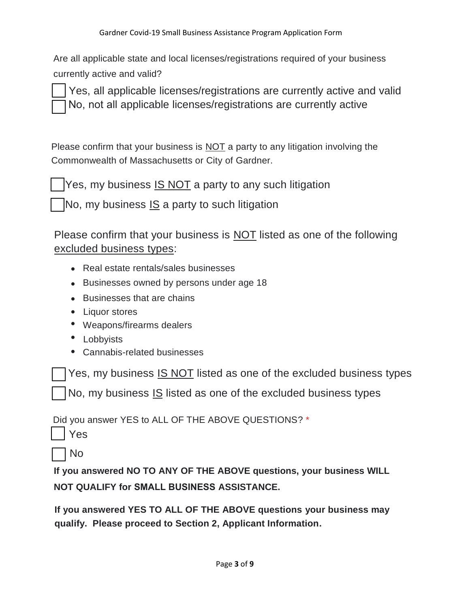Are all applicable state and local licenses/registrations required of your business currently active and valid?

Yes, all applicable licenses/registrations are currently active and valid No, not all applicable licenses/registrations are currently active

Please confirm that your business is NOT a party to any litigation involving the Commonwealth of Massachusetts or City of Gardner.

Yes, my business IS NOT a party to any such litigation

No, my business  $IS$  a party to such litigation

Please confirm that your business is **NOT** listed as one of the following excluded business types:

- Real estate rentals/sales businesses
- Businesses owned by persons under age 18
- Businesses that are chains
- Liquor stores
- Weapons/firearms dealers
- Lobbyists
- Cannabis-related businesses

Yes, my business IS NOT listed as one of the excluded business types

No, my business IS listed as one of the excluded business types

Did you answer YES to ALL OF THE ABOVE QUESTIONS? \*

|--|

No

**If you answered NO TO ANY OF THE ABOVE questions, your business WILL NOT QUALIFY for SMALL BUSINESS ASSISTANCE.**

**If you answered YES TO ALL OF THE ABOVE questions your business may qualify. Please proceed to Section 2, Applicant Information.**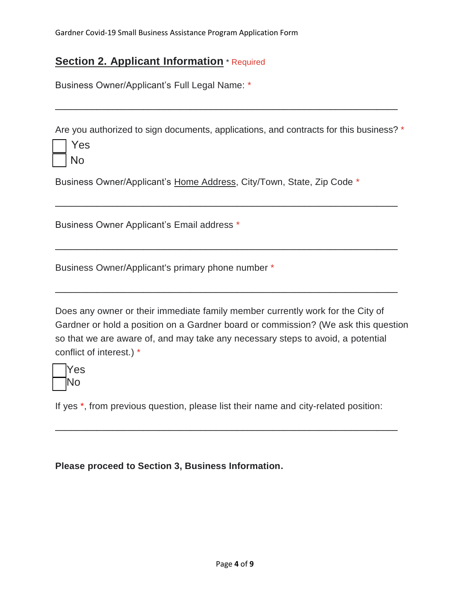## **Section 2. Applicant Information** \* Required

Business Owner/Applicant's Full Legal Name: \*

Are you authorized to sign documents, applications, and contracts for this business? \*

\_\_\_\_\_\_\_\_\_\_\_\_\_\_\_\_\_\_\_\_\_\_\_\_\_\_\_\_\_\_\_\_\_\_\_\_\_\_\_\_\_\_\_\_\_\_\_\_\_\_\_\_\_\_\_\_\_\_\_\_\_\_\_\_\_\_

\_\_\_\_\_\_\_\_\_\_\_\_\_\_\_\_\_\_\_\_\_\_\_\_\_\_\_\_\_\_\_\_\_\_\_\_\_\_\_\_\_\_\_\_\_\_\_\_\_\_\_\_\_\_\_\_\_\_\_\_\_\_\_\_\_\_

\_\_\_\_\_\_\_\_\_\_\_\_\_\_\_\_\_\_\_\_\_\_\_\_\_\_\_\_\_\_\_\_\_\_\_\_\_\_\_\_\_\_\_\_\_\_\_\_\_\_\_\_\_\_\_\_\_\_\_\_\_\_\_\_\_\_

\_\_\_\_\_\_\_\_\_\_\_\_\_\_\_\_\_\_\_\_\_\_\_\_\_\_\_\_\_\_\_\_\_\_\_\_\_\_\_\_\_\_\_\_\_\_\_\_\_\_\_\_\_\_\_\_\_\_\_\_\_\_\_\_\_\_

| ż      |
|--------|
| N<br>∩ |

Business Owner/Applicant's Home Address, City/Town, State, Zip Code \*

Business Owner Applicant's Email address \*

Business Owner/Applicant's primary phone number \*

Does any owner or their immediate family member currently work for the City of Gardner or hold a position on a Gardner board or commission? (We ask this question so that we are aware of, and may take any necessary steps to avoid, a potential conflict of interest.) \*



If yes \*, from previous question, please list their name and city-related position:

\_\_\_\_\_\_\_\_\_\_\_\_\_\_\_\_\_\_\_\_\_\_\_\_\_\_\_\_\_\_\_\_\_\_\_\_\_\_\_\_\_\_\_\_\_\_\_\_\_\_\_\_\_\_\_\_\_\_\_\_\_\_\_\_\_\_

**Please proceed to Section 3, Business Information.**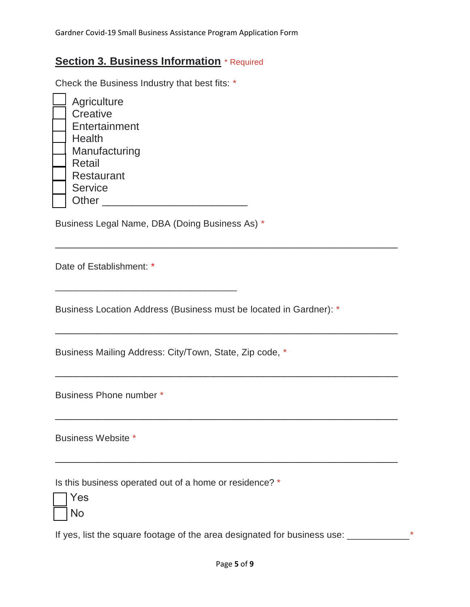### **Section 3. Business Information** \* Required

Check the Business Industry that best fits: \*

| Agriculture       |
|-------------------|
| Creative          |
| Entertainment     |
| <b>Health</b>     |
| Manufacturing     |
| <b>Retail</b>     |
| <b>Restaurant</b> |
| <b>Service</b>    |
| Other             |

Business Legal Name, DBA (Doing Business As) \*

\_\_\_\_\_\_\_\_\_\_\_\_\_\_\_\_\_\_\_\_\_\_\_\_\_\_\_\_\_\_\_\_\_\_\_

Date of Establishment: \*

Business Location Address (Business must be located in Gardner): \*

\_\_\_\_\_\_\_\_\_\_\_\_\_\_\_\_\_\_\_\_\_\_\_\_\_\_\_\_\_\_\_\_\_\_\_\_\_\_\_\_\_\_\_\_\_\_\_\_\_\_\_\_\_\_\_\_\_\_\_\_\_\_\_\_\_\_

\_\_\_\_\_\_\_\_\_\_\_\_\_\_\_\_\_\_\_\_\_\_\_\_\_\_\_\_\_\_\_\_\_\_\_\_\_\_\_\_\_\_\_\_\_\_\_\_\_\_\_\_\_\_\_\_\_\_\_\_\_\_\_\_\_\_

\_\_\_\_\_\_\_\_\_\_\_\_\_\_\_\_\_\_\_\_\_\_\_\_\_\_\_\_\_\_\_\_\_\_\_\_\_\_\_\_\_\_\_\_\_\_\_\_\_\_\_\_\_\_\_\_\_\_\_\_\_\_\_\_\_\_

\_\_\_\_\_\_\_\_\_\_\_\_\_\_\_\_\_\_\_\_\_\_\_\_\_\_\_\_\_\_\_\_\_\_\_\_\_\_\_\_\_\_\_\_\_\_\_\_\_\_\_\_\_\_\_\_\_\_\_\_\_\_\_\_\_\_

\_\_\_\_\_\_\_\_\_\_\_\_\_\_\_\_\_\_\_\_\_\_\_\_\_\_\_\_\_\_\_\_\_\_\_\_\_\_\_\_\_\_\_\_\_\_\_\_\_\_\_\_\_\_\_\_\_\_\_\_\_\_\_\_\_\_

Business Mailing Address: City/Town, State, Zip code, \*

Business Phone number \*

Business Website \*

Is this business operated out of a home or residence? \*

| S<br>−            |
|-------------------|
| $\mathbf \lambda$ |

If yes, list the square footage of the area designated for business use: \_\_\_\_\_\_\_\_\_\_\_\_\_\_\_\*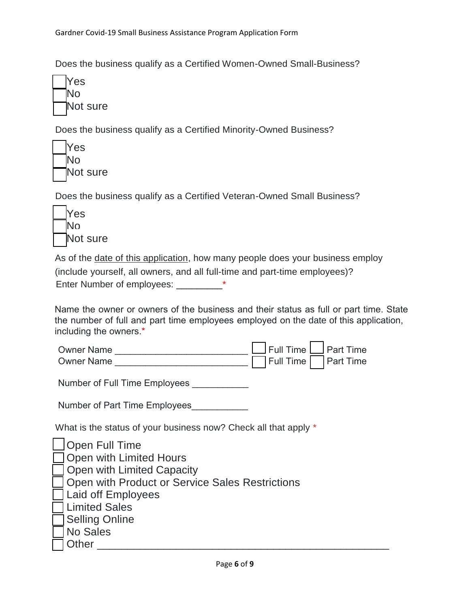Does the business qualify as a Certified Women-Owned Small-Business?



Does the business qualify as a Certified Minority-Owned Business?



Does the business qualify as a Certified Veteran-Owned Small Business?



As of the date of this application, how many people does your business employ

(include yourself, all owners, and all full-time and part-time employees)?

Enter Number of employees: \_\_\_\_\_\_\_\_\_\*

Name the owner or owners of the business and their status as full or part time. State the number of full and part time employees employed on the date of this application, including the owners.\*

| <b>Owner Name</b> |  |  | $\Box$ Full Time $\Box$ Part Time |
|-------------------|--|--|-----------------------------------|
| <b>Owner Name</b> |  |  | Full Time Part Time               |

Number of Full Time Employees

Number of Part Time Employees

What is the status of your business now? Check all that apply \*

| $\Box$ Open Full Time                             |
|---------------------------------------------------|
| Open with Limited Hours                           |
| Open with Limited Capacity                        |
| □ Open with Product or Service Sales Restrictions |
| □ Laid off Employees                              |
| □ Limited Sales                                   |
| □ Selling Online                                  |
| No Sales                                          |
| Other                                             |
|                                                   |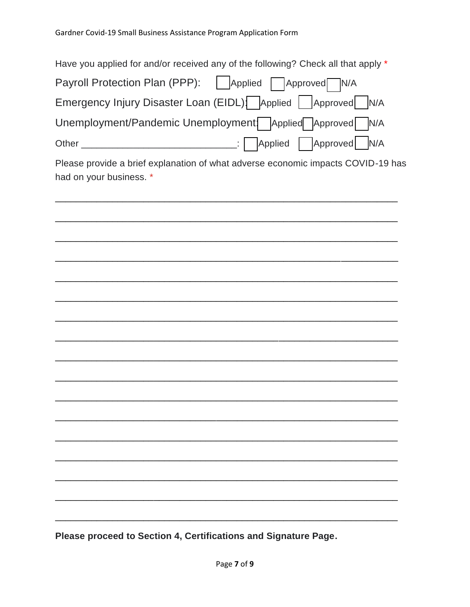| Have you applied for and/or received any of the following? Check all that apply *                           |
|-------------------------------------------------------------------------------------------------------------|
| Payroll Protection Plan (PPP):   Applied   Approved N/A                                                     |
| Emergency Injury Disaster Loan (EIDL): Applied   Approved   N/A                                             |
| Unemployment/Pandemic Unemployment: Applied Approved N/A                                                    |
|                                                                                                             |
| Please provide a brief explanation of what adverse economic impacts COVID-19 has<br>had on your business. * |
|                                                                                                             |
|                                                                                                             |
|                                                                                                             |
|                                                                                                             |
|                                                                                                             |
|                                                                                                             |
|                                                                                                             |
|                                                                                                             |
|                                                                                                             |
|                                                                                                             |
|                                                                                                             |
|                                                                                                             |
|                                                                                                             |
|                                                                                                             |

Please proceed to Section 4, Certifications and Signature Page.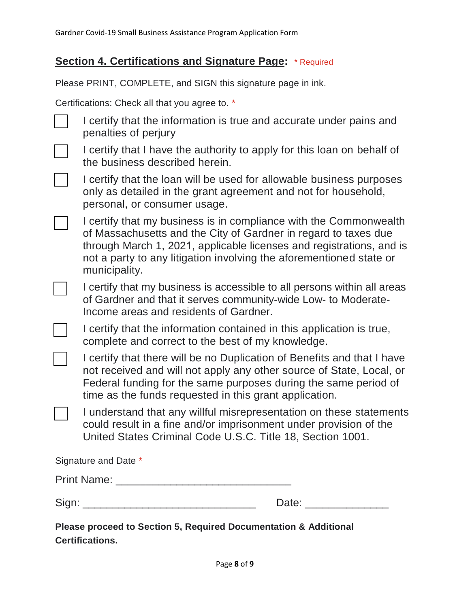## **Section 4. Certifications and Signature Page:** \* Required

Please PRINT, COMPLETE, and SIGN this signature page in ink.

Certifications: Check all that you agree to. \*

 I certify that the information is true and accurate under pains and penalties of perjury

 I certify that I have the authority to apply for this loan on behalf of the business described herein.

 I certify that the loan will be used for allowable business purposes only as detailed in the grant agreement and not for household, personal, or consumer usage.

 I certify that my business is in compliance with the Commonwealth of Massachusetts and the City of Gardner in regard to taxes due through March 1, 2021, applicable licenses and registrations, and is not a party to any litigation involving the aforementioned state or municipality.

 $\Box$  I certify that my business is accessible to all persons within all areas of Gardner and that it serves community-wide Low- to Moderate-Income areas and residents of Gardner.

I certify that the information contained in this application is true, complete and correct to the best of my knowledge.

 I certify that there will be no Duplication of Benefits and that I have not received and will not apply any other source of State, Local, or Federal funding for the same purposes during the same period of time as the funds requested in this grant application.

 I understand that any willful misrepresentation on these statements could result in a fine and/or imprisonment under provision of the United States Criminal Code U.S.C. Title 18, Section 1001.

Signature and Date \*

Print Name: \_\_\_\_\_\_\_\_\_\_\_\_\_\_\_\_\_\_\_\_\_\_\_\_\_\_\_\_\_

Sign: \_\_\_\_\_\_\_\_\_\_\_\_\_\_\_\_\_\_\_\_\_\_\_\_\_\_\_\_\_ Date: \_\_\_\_\_\_\_\_\_\_\_\_\_\_

**Please proceed to Section 5, Required Documentation & Additional Certifications.**